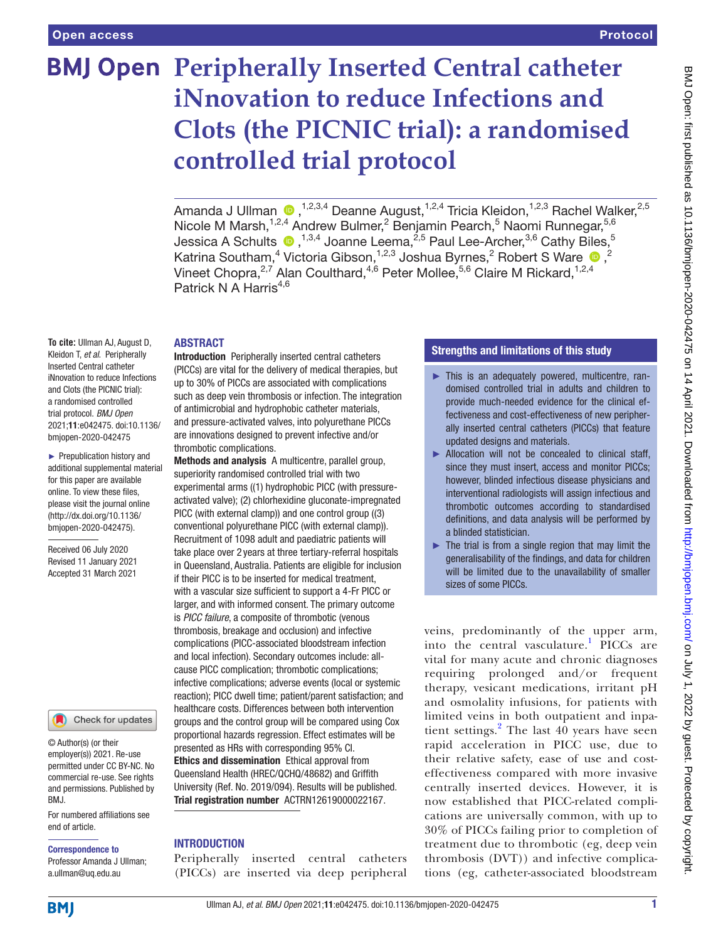# **BMJ Open Peripherally Inserted Central catheter iNnovation to reduce Infections and Clots (the PICNIC trial): a randomised controlled trial protocol**

Amanda J Ullman  $\bigcirc$ , 1,2,3,4 Deanne August, 1,2,4 Tricia Kleidon, 1,2,3 Rachel Walker, 2,5 Nicole M Marsh,<sup>1,2,4</sup> Andrew Bulmer,<sup>2</sup> Benjamin Pearch,<sup>5</sup> Naomi Runnegar,<sup>5,6</sup> Jessica A Schults  $\bullet$  ,  $^{1,3,4}$  Joanne Leema, $^{2,5}$  Paul Lee-Archer, $^{3,6}$  Cathy Biles,  $^5$ Katrina Southam,<sup>4</sup> Victoria Gibson,<sup>1,2,3</sup> Joshua Byrnes,<sup>2</sup> Robert S Ware <sup>1</sup>0,<sup>2</sup> Vineet Chopra, $^{2,7}$  Alan Coulthard, $^{4,6}$  Peter Mollee, $^{5,6}$  Claire M Rickard, $^{1,2,4}$ Patrick N A Harris $4,6$ 

#### **ABSTRACT**

**To cite:** Ullman AJ, August D, Kleidon T, *et al*. Peripherally Inserted Central catheter iNnovation to reduce Infections and Clots (the PICNIC trial): a randomised controlled trial protocol. *BMJ Open* 2021;11:e042475. doi:10.1136/ bmjopen-2020-042475

► Prepublication history and additional supplemental material for this paper are available online. To view these files, please visit the journal online [\(http://dx.doi.org/10.1136/](http://dx.doi.org/10.1136/bmjopen-2020-042475) [bmjopen-2020-042475](http://dx.doi.org/10.1136/bmjopen-2020-042475)).

Received 06 July 2020 Revised 11 January 2021 Accepted 31 March 2021



© Author(s) (or their employer(s)) 2021. Re-use permitted under CC BY-NC. No commercial re-use. See rights and permissions. Published by BMJ.

For numbered affiliations see end of article.

#### Correspondence to

Professor Amanda J Ullman; a.ullman@uq.edu.au

Introduction Peripherally inserted central catheters (PICCs) are vital for the delivery of medical therapies, but up to 30% of PICCs are associated with complications such as deep vein thrombosis or infection. The integration of antimicrobial and hydrophobic catheter materials, and pressure-activated valves, into polyurethane PICCs are innovations designed to prevent infective and/or thrombotic complications.

Methods and analysis A multicentre, parallel group, superiority randomised controlled trial with two experimental arms ((1) hydrophobic PICC (with pressureactivated valve); (2) chlorhexidine gluconate-impregnated PICC (with external clamp)) and one control group ((3) conventional polyurethane PICC (with external clamp)). Recruitment of 1098 adult and paediatric patients will take place over 2 years at three tertiary-referral hospitals in Queensland, Australia. Patients are eligible for inclusion if their PICC is to be inserted for medical treatment, with a vascular size sufficient to support a 4-Fr PICC or larger, and with informed consent. The primary outcome is *PICC failure*, a composite of thrombotic (venous thrombosis, breakage and occlusion) and infective complications (PICC-associated bloodstream infection and local infection). Secondary outcomes include: allcause PICC complication; thrombotic complications; infective complications; adverse events (local or systemic reaction); PICC dwell time; patient/parent satisfaction; and healthcare costs. Differences between both intervention groups and the control group will be compared using Cox proportional hazards regression. Effect estimates will be presented as HRs with corresponding 95% CI. Ethics and dissemination Ethical approval from Queensland Health (HREC/QCHQ/48682) and Griffith University (Ref. No. 2019/094). Results will be published. Trial registration number ACTRN12619000022167.

## INTRODUCTION

Peripherally inserted central catheters (PICCs) are inserted via deep peripheral

## Strengths and limitations of this study

- ► This is an adequately powered, multicentre, randomised controlled trial in adults and children to provide much-needed evidence for the clinical effectiveness and cost-effectiveness of new peripherally inserted central catheters (PICCs) that feature updated designs and materials.
- ► Allocation will not be concealed to clinical staff, since they must insert, access and monitor PICCs; however, blinded infectious disease physicians and interventional radiologists will assign infectious and thrombotic outcomes according to standardised definitions, and data analysis will be performed by a blinded statistician.
- $\blacktriangleright$  The trial is from a single region that may limit the generalisability of the findings, and data for children will be limited due to the unavailability of smaller sizes of some PICCs.

veins, predominantly of the upper arm, into the central vasculature.<sup>[1](#page-6-0)</sup> PICCs are vital for many acute and chronic diagnoses requiring prolonged and/or frequent therapy, vesicant medications, irritant pH and osmolality infusions, for patients with limited veins in both outpatient and inpa-tient settings.<sup>[2](#page-6-1)</sup> The last 40 years have seen rapid acceleration in PICC use, due to their relative safety, ease of use and costeffectiveness compared with more invasive centrally inserted devices. However, it is now established that PICC-related complications are universally common, with up to 30% of PICCs failing prior to completion of treatment due to thrombotic (eg, deep vein thrombosis (DVT)) and infective complications (eg, catheter-associated bloodstream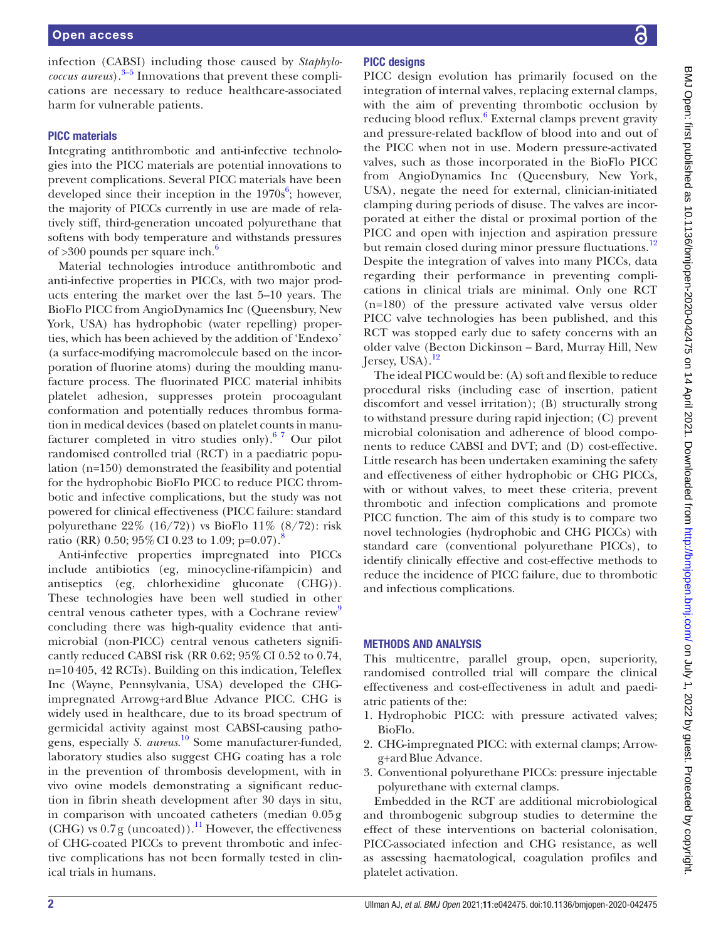infection (CABSI) including those caused by *Staphylococcus aureus*).<sup>3–5</sup> Innovations that prevent these complications are necessary to reduce healthcare-associated harm for vulnerable patients.

#### PICC materials

Integrating antithrombotic and anti-infective technologies into the PICC materials are potential innovations to prevent complications. Several PICC materials have been developed since their inception in the  $1970s^6$  $1970s^6$ ; however, the majority of PICCs currently in use are made of relatively stiff, third-generation uncoated polyurethane that softens with body temperature and withstands pressures of  $>300$  pounds per square inch.<sup>[6](#page-6-3)</sup>

Material technologies introduce antithrombotic and anti-infective properties in PICCs, with two major products entering the market over the last 5–10 years. The BioFlo PICC from AngioDynamics Inc (Queensbury, New York, USA) has hydrophobic (water repelling) properties, which has been achieved by the addition of 'Endexo' (a surface-modifying macromolecule based on the incorporation of fluorine atoms) during the moulding manufacture process. The fluorinated PICC material inhibits platelet adhesion, suppresses protein procoagulant conformation and potentially reduces thrombus formation in medical devices (based on platelet counts in manufacturer completed in vitro studies only). $67$  Our pilot randomised controlled trial (RCT) in a paediatric population (n=150) demonstrated the feasibility and potential for the hydrophobic BioFlo PICC to reduce PICC thrombotic and infective complications, but the study was not powered for clinical effectiveness (PICC failure: standard polyurethane 22% (16/72)) vs BioFlo 11% (8/72): risk ratio (RR) 0.50; 95% CI 0.23 to 1.09; p=0.07).<sup>[8](#page-6-4)</sup>

Anti-infective properties impregnated into PICCs include antibiotics (eg, minocycline-rifampicin) and antiseptics (eg, chlorhexidine gluconate (CHG)). These technologies have been well studied in other central venous catheter types, with a Cochrane review<sup>[9](#page-6-5)</sup> concluding there was high-quality evidence that antimicrobial (non-PICC) central venous catheters significantly reduced CABSI risk (RR  $0.62$ ;  $95\%$  CI  $0.52$  to  $0.74$ , n=10 405, 42 RCTs). Building on this indication, Teleflex Inc (Wayne, Pennsylvania, USA) developed the CHGimpregnated Arrowg+ardBlue Advance PICC. CHG is widely used in healthcare, due to its broad spectrum of germicidal activity against most CABSI-causing pathogens, especially *S. aureus*. [10](#page-6-6) Some manufacturer-funded, laboratory studies also suggest CHG coating has a role in the prevention of thrombosis development, with in vivo ovine models demonstrating a significant reduction in fibrin sheath development after 30 days in situ, in comparison with uncoated catheters (median 0.05 g (CHG) vs  $0.7$  g (uncoated)).<sup>[11](#page-6-7)</sup> However, the effectiveness of CHG-coated PICCs to prevent thrombotic and infective complications has not been formally tested in clinical trials in humans.

## PICC designs

PICC design evolution has primarily focused on the integration of internal valves, replacing external clamps, with the aim of preventing thrombotic occlusion by reducing blood reflux.<sup>[6](#page-6-3)</sup> External clamps prevent gravity and pressure-related backflow of blood into and out of the PICC when not in use. Modern pressure-activated valves, such as those incorporated in the BioFlo PICC from AngioDynamics Inc (Queensbury, New York, USA), negate the need for external, clinician-initiated clamping during periods of disuse. The valves are incorporated at either the distal or proximal portion of the PICC and open with injection and aspiration pressure but remain closed during minor pressure fluctuations.<sup>[12](#page-6-8)</sup> Despite the integration of valves into many PICCs, data regarding their performance in preventing complications in clinical trials are minimal. Only one RCT (n=180) of the pressure activated valve versus older PICC valve technologies has been published, and this RCT was stopped early due to safety concerns with an older valve (Becton Dickinson – Bard, Murray Hill, New Jersey, USA). $^{12}$  $^{12}$  $^{12}$ 

The ideal PICC would be: (A) soft and flexible to reduce procedural risks (including ease of insertion, patient discomfort and vessel irritation); (B) structurally strong to withstand pressure during rapid injection; (C) prevent microbial colonisation and adherence of blood components to reduce CABSI and DVT; and (D) cost-effective. Little research has been undertaken examining the safety and effectiveness of either hydrophobic or CHG PICCs, with or without valves, to meet these criteria, prevent thrombotic and infection complications and promote PICC function. The aim of this study is to compare two novel technologies (hydrophobic and CHG PICCs) with standard care (conventional polyurethane PICCs), to identify clinically effective and cost-effective methods to reduce the incidence of PICC failure, due to thrombotic and infectious complications.

#### METHODS AND ANALYSIS

This multicentre, parallel group, open, superiority, randomised controlled trial will compare the clinical effectiveness and cost-effectiveness in adult and paediatric patients of the:

- 1. Hydrophobic PICC: with pressure activated valves; BioFlo.
- 2. CHG-impregnated PICC: with external clamps; Arrowg+ardBlue Advance.
- 3. Conventional polyurethane PICCs: pressure injectable polyurethane with external clamps.

Embedded in the RCT are additional microbiological and thrombogenic subgroup studies to determine the effect of these interventions on bacterial colonisation, PICC-associated infection and CHG resistance, as well as assessing haematological, coagulation profiles and platelet activation.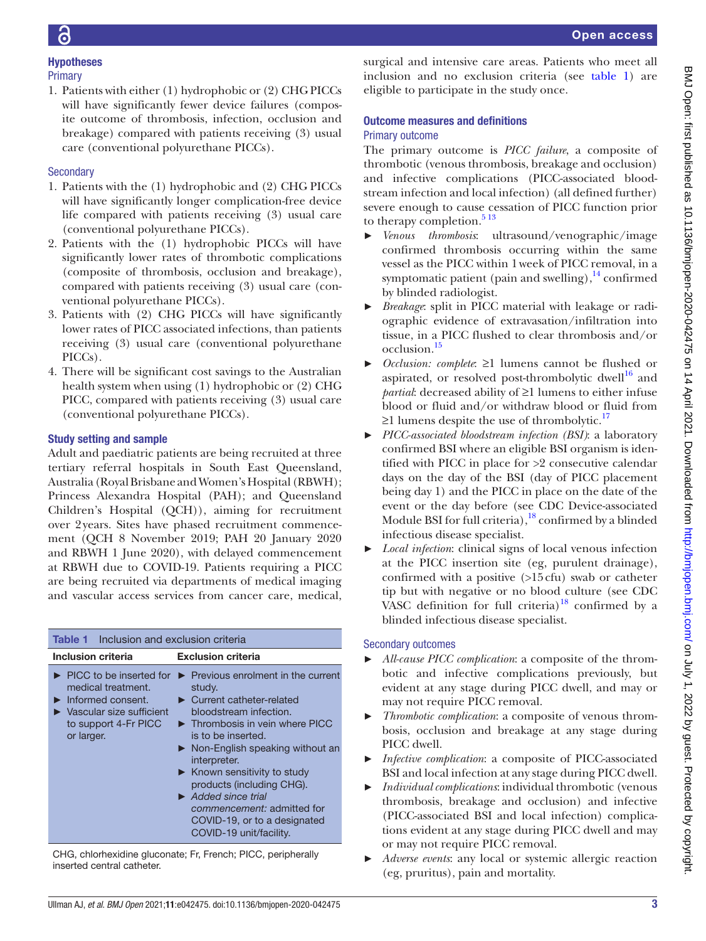# Hypotheses

## **Primary**

1. Patients with either (1) hydrophobic or (2) CHG PICCs will have significantly fewer device failures (composite outcome of thrombosis, infection, occlusion and breakage) compared with patients receiving (3) usual care (conventional polyurethane PICCs).

# **Secondary**

- 1. Patients with the (1) hydrophobic and (2) CHG PICCs will have significantly longer complication-free device life compared with patients receiving (3) usual care (conventional polyurethane PICCs).
- 2. Patients with the (1) hydrophobic PICCs will have significantly lower rates of thrombotic complications (composite of thrombosis, occlusion and breakage), compared with patients receiving (3) usual care (conventional polyurethane PICCs).
- 3. Patients with (2) CHG PICCs will have significantly lower rates of PICC associated infections, than patients receiving (3) usual care (conventional polyurethane PICCs).
- 4. There will be significant cost savings to the Australian health system when using (1) hydrophobic or (2) CHG PICC, compared with patients receiving (3) usual care (conventional polyurethane PICCs).

# Study setting and sample

inserted central catheter.

Adult and paediatric patients are being recruited at three tertiary referral hospitals in South East Queensland, Australia (Royal Brisbane and Women's Hospital (RBWH); Princess Alexandra Hospital (PAH); and Queensland Children's Hospital (QCH)), aiming for recruitment over 2years. Sites have phased recruitment commencement (QCH 8 November 2019; PAH 20 January 2020 and RBWH 1 June 2020), with delayed commencement at RBWH due to COVID-19. Patients requiring a PICC are being recruited via departments of medical imaging and vascular access services from cancer care, medical,

<span id="page-2-0"></span>

| <b>Table 1</b> Inclusion and exclusion criteria                                                                                                                                  |                                                                                                                                                                                                                                                                                                                                                                                                                                                        |
|----------------------------------------------------------------------------------------------------------------------------------------------------------------------------------|--------------------------------------------------------------------------------------------------------------------------------------------------------------------------------------------------------------------------------------------------------------------------------------------------------------------------------------------------------------------------------------------------------------------------------------------------------|
| Inclusion criteria                                                                                                                                                               | <b>Exclusion criteria</b>                                                                                                                                                                                                                                                                                                                                                                                                                              |
| $\blacktriangleright$ PICC to be inserted for<br>medical treatment.<br>Informed consent.<br>$\blacktriangleright$ Vascular size sufficient<br>to support 4-Fr PICC<br>or larger. | Previous enrolment in the current<br>study.<br>$\blacktriangleright$ Current catheter-related<br>bloodstream infection.<br>Thrombosis in vein where PICC<br>is to be inserted.<br>Non-English speaking without an<br>interpreter.<br>$\blacktriangleright$ Known sensitivity to study<br>products (including CHG).<br>$\blacktriangleright$ Added since trial<br>commencement: admitted for<br>COVID-19, or to a designated<br>COVID-19 unit/facility. |
| CHG, chlorhexidine gluconate; Fr, French; PICC, peripherally                                                                                                                     |                                                                                                                                                                                                                                                                                                                                                                                                                                                        |

surgical and intensive care areas. Patients who meet all inclusion and no exclusion criteria (see [table](#page-2-0) 1) are eligible to participate in the study once.

# Outcome measures and definitions

# Primary outcome

The primary outcome is *PICC failure*, a composite of thrombotic (venous thrombosis, breakage and occlusion) and infective complications (PICC-associated bloodstream infection and local infection) (all defined further) severe enough to cause cessation of PICC function prior to therapy completion.<sup>5 13</sup>

- ► *Venous thrombosis*: ultrasound/venographic/image confirmed thrombosis occurring within the same vessel as the PICC within 1week of PICC removal, in a symptomatic patient (pain and swelling), $^{14}$  confirmed by blinded radiologist.
- ► *Breakage*: split in PICC material with leakage or radiographic evidence of extravasation/infiltration into tissue, in a PICC flushed to clear thrombosis and/or occlusion[.15](#page-6-11)
- *Occlusion: complete*: ≥1 lumens cannot be flushed or aspirated, or resolved post-thrombolytic dwell $16$  and *partial*: decreased ability of ≥1 lumens to either infuse blood or fluid and/or withdraw blood or fluid from  $≥1$  lumens despite the use of thrombolytic.<sup>[17](#page-6-13)</sup>
- ► *PICC-associated bloodstream infection (BSI)*: a laboratory confirmed BSI where an eligible BSI organism is identified with PICC in place for >2 consecutive calendar days on the day of the BSI (day of PICC placement being day 1) and the PICC in place on the date of the event or the day before (see CDC Device-associated Module BSI for full criteria),<sup>[18](#page-6-14)</sup> confirmed by a blinded infectious disease specialist.
- Local infection: clinical signs of local venous infection at the PICC insertion site (eg, purulent drainage), confirmed with a positive (>15cfu) swab or catheter tip but with negative or no blood culture (see CDC VASC definition for full criteria) $18$  confirmed by a blinded infectious disease specialist.

# Secondary outcomes

- ► *All-cause PICC complication*: a composite of the thrombotic and infective complications previously, but evident at any stage during PICC dwell, and may or may not require PICC removal.
- ► *Thrombotic complication*: a composite of venous thrombosis, occlusion and breakage at any stage during PICC dwell.
- ► *Infective complication*: a composite of PICC-associated BSI and local infection at any stage during PICC dwell.
- ► *Individual complications*: individual thrombotic (venous thrombosis, breakage and occlusion) and infective (PICC-associated BSI and local infection) complications evident at any stage during PICC dwell and may or may not require PICC removal.
- ► *Adverse events*: any local or systemic allergic reaction (eg, pruritus), pain and mortality.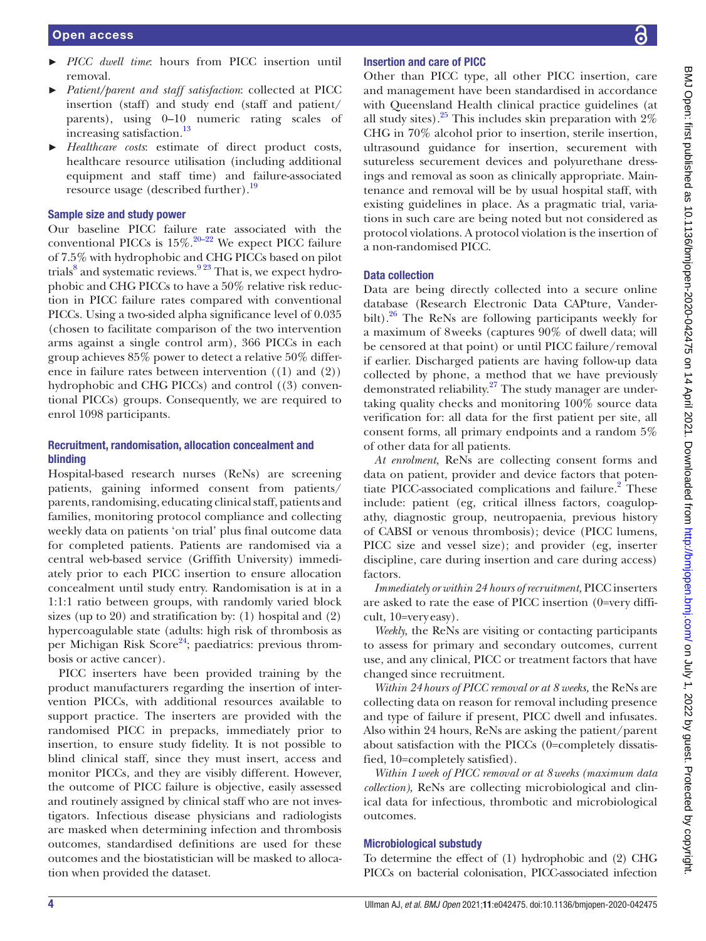- ► *PICC dwell time*: hours from PICC insertion until removal.
- ► *Patient/parent and staff satisfaction*: collected at PICC insertion (staff) and study end (staff and patient/ parents), using 0–10 numeric rating scales of increasing satisfaction.<sup>13</sup>
- ► *Healthcare costs*: estimate of direct product costs, healthcare resource utilisation (including additional equipment and staff time) and failure-associated resource usage (described further).<sup>[19](#page-6-16)</sup>

#### Sample size and study power

Our baseline PICC failure rate associated with the conventional PICCs is  $15\%$ .<sup>[20–22](#page-6-17)</sup> We expect PICC failure of 7.5% with hydrophobic and CHG PICCs based on pilot trials<sup>[8](#page-6-4)</sup> and systematic reviews.<sup>923</sup> That is, we expect hydrophobic and CHG PICCs to have a 50% relative risk reduction in PICC failure rates compared with conventional PICCs. Using a two-sided alpha significance level of 0.035 (chosen to facilitate comparison of the two intervention arms against a single control arm), 366 PICCs in each group achieves 85% power to detect a relative 50% difference in failure rates between intervention ((1) and (2)) hydrophobic and CHG PICCs) and control ((3) conventional PICCs) groups. Consequently, we are required to enrol 1098 participants.

### Recruitment, randomisation, allocation concealment and blinding

Hospital-based research nurses (ReNs) are screening patients, gaining informed consent from patients/ parents, randomising, educating clinical staff, patients and families, monitoring protocol compliance and collecting weekly data on patients 'on trial' plus final outcome data for completed patients. Patients are randomised via a central web-based service (Griffith University) immediately prior to each PICC insertion to ensure allocation concealment until study entry. Randomisation is at in a 1:1:1 ratio between groups, with randomly varied block sizes (up to 20) and stratification by: (1) hospital and (2) hypercoagulable state (adults: high risk of thrombosis as per Michigan Risk Score<sup>24</sup>; paediatrics: previous thrombosis or active cancer).

PICC inserters have been provided training by the product manufacturers regarding the insertion of intervention PICCs, with additional resources available to support practice. The inserters are provided with the randomised PICC in prepacks, immediately prior to insertion, to ensure study fidelity. It is not possible to blind clinical staff, since they must insert, access and monitor PICCs, and they are visibly different. However, the outcome of PICC failure is objective, easily assessed and routinely assigned by clinical staff who are not investigators. Infectious disease physicians and radiologists are masked when determining infection and thrombosis outcomes, standardised definitions are used for these outcomes and the biostatistician will be masked to allocation when provided the dataset.

## Insertion and care of PICC

Other than PICC type, all other PICC insertion, care and management have been standardised in accordance with Queensland Health clinical practice guidelines (at all study sites).<sup>25</sup> This includes skin preparation with  $2\%$ CHG in 70% alcohol prior to insertion, sterile insertion, ultrasound guidance for insertion, securement with sutureless securement devices and polyurethane dressings and removal as soon as clinically appropriate. Maintenance and removal will be by usual hospital staff, with existing guidelines in place. As a pragmatic trial, variations in such care are being noted but not considered as protocol violations. A protocol violation is the insertion of a non-randomised PICC.

#### Data collection

Data are being directly collected into a secure online database (Research Electronic Data CAPture, Vanderbilt). $26$  The ReNs are following participants weekly for a maximum of 8weeks (captures 90% of dwell data; will be censored at that point) or until PICC failure/removal if earlier. Discharged patients are having follow-up data collected by phone, a method that we have previously demonstrated reliability.<sup>27</sup> The study manager are undertaking quality checks and monitoring 100% source data verification for: all data for the first patient per site, all consent forms, all primary endpoints and a random 5% of other data for all patients.

*At enrolment,* ReNs are collecting consent forms and data on patient, provider and device factors that poten-tiate PICC-associated complications and failure.<sup>[2](#page-6-1)</sup> These include: patient (eg, critical illness factors, coagulopathy, diagnostic group, neutropaenia, previous history of CABSI or venous thrombosis); device (PICC lumens, PICC size and vessel size); and provider (eg, inserter discipline, care during insertion and care during access) factors.

*Immediately or within 24 hours of recruitment,* PICC inserters are asked to rate the ease of PICC insertion (0=very difficult, 10=very easy).

*Weekly,* the ReNs are visiting or contacting participants to assess for primary and secondary outcomes, current use, and any clinical, PICC or treatment factors that have changed since recruitment.

*Within 24hours of PICC removal or at 8 weeks,* the ReNs are collecting data on reason for removal including presence and type of failure if present, PICC dwell and infusates. Also within 24 hours, ReNs are asking the patient/parent about satisfaction with the PICCs (0=completely dissatisfied, 10=completely satisfied).

*Within 1week of PICC removal or at 8weeks (maximum data collection),* ReNs are collecting microbiological and clinical data for infectious, thrombotic and microbiological outcomes.

#### Microbiological substudy

To determine the effect of (1) hydrophobic and (2) CHG PICCs on bacterial colonisation, PICC-associated infection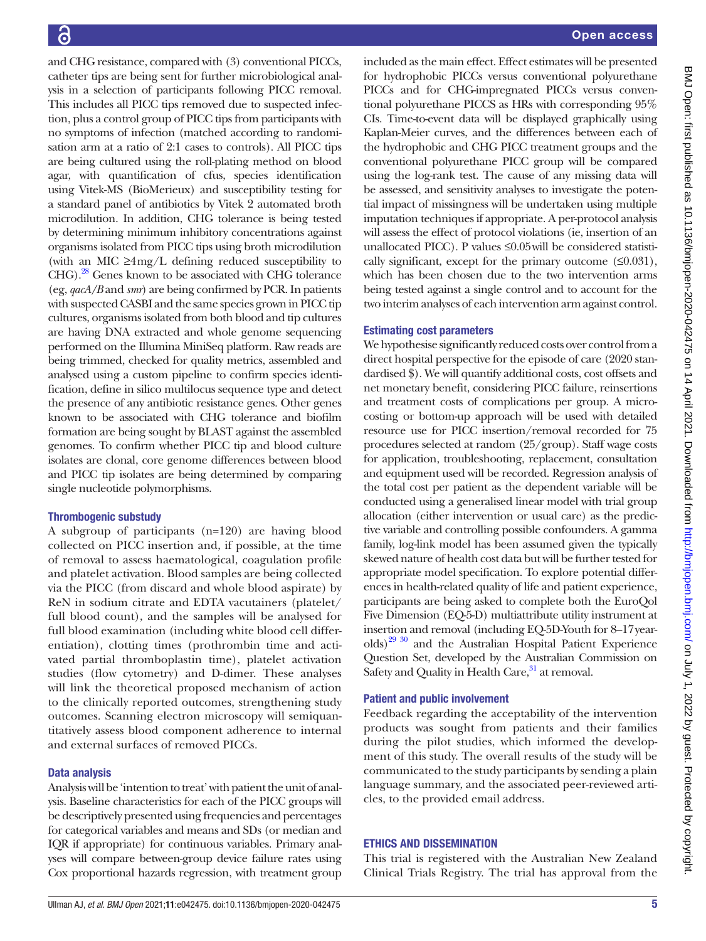and CHG resistance, compared with (3) conventional PICCs, catheter tips are being sent for further microbiological analysis in a selection of participants following PICC removal. This includes all PICC tips removed due to suspected infection, plus a control group of PICC tips from participants with no symptoms of infection (matched according to randomisation arm at a ratio of 2:1 cases to controls). All PICC tips are being cultured using the roll-plating method on blood agar, with quantification of cfus, species identification using Vitek-MS (BioMerieux) and susceptibility testing for a standard panel of antibiotics by Vitek 2 automated broth microdilution. In addition, CHG tolerance is being tested by determining minimum inhibitory concentrations against organisms isolated from PICC tips using broth microdilution (with an MIC  $\geq$ 4mg/L defining reduced susceptibility to CHG).<sup>[28](#page-6-22)</sup> Genes known to be associated with CHG tolerance (eg, *qacA/B* and *smr*) are being confirmed by PCR. In patients with suspected CASBI and the same species grown in PICC tip cultures, organisms isolated from both blood and tip cultures are having DNA extracted and whole genome sequencing performed on the Illumina MiniSeq platform. Raw reads are being trimmed, checked for quality metrics, assembled and analysed using a custom pipeline to confirm species identification, define in silico multilocus sequence type and detect the presence of any antibiotic resistance genes. Other genes known to be associated with CHG tolerance and biofilm formation are being sought by BLAST against the assembled genomes. To confirm whether PICC tip and blood culture isolates are clonal, core genome differences between blood and PICC tip isolates are being determined by comparing single nucleotide polymorphisms.

## Thrombogenic substudy

A subgroup of participants (n=120) are having blood collected on PICC insertion and, if possible, at the time of removal to assess haematological, coagulation profile and platelet activation. Blood samples are being collected via the PICC (from discard and whole blood aspirate) by ReN in sodium citrate and EDTA vacutainers (platelet/ full blood count), and the samples will be analysed for full blood examination (including white blood cell differentiation), clotting times (prothrombin time and activated partial thromboplastin time), platelet activation studies (flow cytometry) and D-dimer. These analyses will link the theoretical proposed mechanism of action to the clinically reported outcomes, strengthening study outcomes. Scanning electron microscopy will semiquantitatively assess blood component adherence to internal and external surfaces of removed PICCs.

## Data analysis

Analysis will be 'intention to treat' with patient the unit of analysis. Baseline characteristics for each of the PICC groups will be descriptively presented using frequencies and percentages for categorical variables and means and SDs (or median and IQR if appropriate) for continuous variables. Primary analyses will compare between-group device failure rates using Cox proportional hazards regression, with treatment group

included as the main effect. Effect estimates will be presented for hydrophobic PICCs versus conventional polyurethane PICCs and for CHG-impregnated PICCs versus conventional polyurethane PICCS as HRs with corresponding 95% CIs. Time-to-event data will be displayed graphically using Kaplan-Meier curves, and the differences between each of the hydrophobic and CHG PICC treatment groups and the conventional polyurethane PICC group will be compared using the log-rank test. The cause of any missing data will be assessed, and sensitivity analyses to investigate the potential impact of missingness will be undertaken using multiple imputation techniques if appropriate. A per-protocol analysis will assess the effect of protocol violations (ie, insertion of an unallocated PICC). P values ≤0.05will be considered statistically significant, except for the primary outcome  $(\leq 0.031)$ , which has been chosen due to the two intervention arms being tested against a single control and to account for the two interim analyses of each intervention arm against control.

## Estimating cost parameters

We hypothesise significantly reduced costs over control from a direct hospital perspective for the episode of care (2020 standardised \$). We will quantify additional costs, cost offsets and net monetary benefit, considering PICC failure, reinsertions and treatment costs of complications per group. A microcosting or bottom-up approach will be used with detailed resource use for PICC insertion/removal recorded for 75 procedures selected at random (25/group). Staff wage costs for application, troubleshooting, replacement, consultation and equipment used will be recorded. Regression analysis of the total cost per patient as the dependent variable will be conducted using a generalised linear model with trial group allocation (either intervention or usual care) as the predictive variable and controlling possible confounders. A gamma family, log-link model has been assumed given the typically skewed nature of health cost data but will be further tested for appropriate model specification. To explore potential differences in health-related quality of life and patient experience, participants are being asked to complete both the EuroQol Five Dimension (EQ-5-D) multiattribute utility instrument at insertion and removal (including EQ-5D-Youth for 8–17yearolds)<sup>29 30</sup> and the Australian Hospital Patient Experience Question Set, developed by the Australian Commission on Safety and Quality in Health Care,<sup>[31](#page-6-24)</sup> at removal.

## Patient and public involvement

Feedback regarding the acceptability of the intervention products was sought from patients and their families during the pilot studies, which informed the development of this study. The overall results of the study will be communicated to the study participants by sending a plain language summary, and the associated peer-reviewed articles, to the provided email address.

## ETHICS AND DISSEMINATION

This trial is registered with the Australian New Zealand Clinical Trials Registry. The trial has approval from the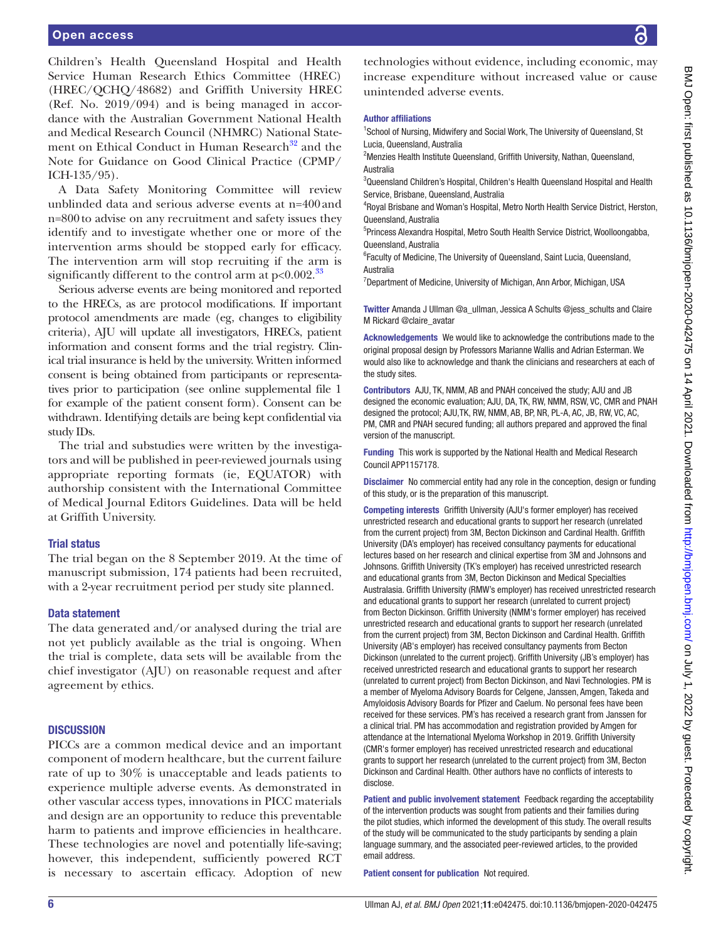Children's Health Queensland Hospital and Health Service Human Research Ethics Committee (HREC) (HREC/QCHQ/48682) and Griffith University HREC (Ref. No. 2019/094) and is being managed in accordance with the Australian Government National Health and Medical Research Council (NHMRC) National Statement on Ethical Conduct in Human Research<sup>32</sup> and the Note for Guidance on Good Clinical Practice (CPMP/ ICH-135/95).

A Data Safety Monitoring Committee will review unblinded data and serious adverse events at n=400and n=800to advise on any recruitment and safety issues they identify and to investigate whether one or more of the intervention arms should be stopped early for efficacy. The intervention arm will stop recruiting if the arm is significantly different to the control arm at  $p<0.002$ <sup>33</sup>

Serious adverse events are being monitored and reported to the HRECs, as are protocol modifications. If important protocol amendments are made (eg, changes to eligibility criteria), AJU will update all investigators, HRECs, patient information and consent forms and the trial registry. Clinical trial insurance is held by the university. Written informed consent is being obtained from participants or representatives prior to participation (see [online supplemental file 1](https://dx.doi.org/10.1136/bmjopen-2020-042475) for example of the patient consent form). Consent can be withdrawn. Identifying details are being kept confidential via study IDs.

The trial and substudies were written by the investigators and will be published in peer-reviewed journals using appropriate reporting formats (ie, EQUATOR) with authorship consistent with the International Committee of Medical Journal Editors Guidelines. Data will be held at Griffith University.

#### Trial status

The trial began on the 8 September 2019. At the time of manuscript submission, 174 patients had been recruited, with a 2-year recruitment period per study site planned.

#### Data statement

The data generated and/or analysed during the trial are not yet publicly available as the trial is ongoing. When the trial is complete, data sets will be available from the chief investigator (AJU) on reasonable request and after agreement by ethics.

#### **DISCUSSION**

PICCs are a common medical device and an important component of modern healthcare, but the current failure rate of up to 30% is unacceptable and leads patients to experience multiple adverse events. As demonstrated in other vascular access types, innovations in PICC materials and design are an opportunity to reduce this preventable harm to patients and improve efficiencies in healthcare. These technologies are novel and potentially life-saving; however, this independent, sufficiently powered RCT is necessary to ascertain efficacy. Adoption of new

technologies without evidence, including economic, may increase expenditure without increased value or cause unintended adverse events.

#### Author affiliations

<sup>1</sup>School of Nursing, Midwifery and Social Work, The University of Queensland, St Lucia, Queensland, Australia

<sup>2</sup>Menzies Health Institute Queensland, Griffith University, Nathan, Queensland, Australia

<sup>3</sup>Queensland Children's Hospital, Children's Health Queensland Hospital and Health Service, Brisbane, Queensland, Australia

4 Royal Brisbane and Woman's Hospital, Metro North Health Service District, Herston, Queensland, Australia

5 Princess Alexandra Hospital, Metro South Health Service District, Woolloongabba, Queensland, Australia

<sup>6</sup> Faculty of Medicine, The University of Queensland, Saint Lucia, Queensland, Australia

<sup>7</sup>Department of Medicine, University of Michigan, Ann Arbor, Michigan, USA

Twitter Amanda J Ullman [@a\\_ullman,](https://twitter.com/a_ullman) Jessica A Schults [@jess\\_schults](https://twitter.com/jess_schults) and Claire M Rickard [@claire\\_avatar](https://twitter.com/claire_avatar)

Acknowledgements We would like to acknowledge the contributions made to the original proposal design by Professors Marianne Wallis and Adrian Esterman. We would also like to acknowledge and thank the clinicians and researchers at each of the study sites.

Contributors AJU, TK, NMM, AB and PNAH conceived the study; AJU and JB designed the economic evaluation; AJU, DA, TK, RW, NMM, RSW, VC, CMR and PNAH designed the protocol; AJU,TK, RW, NMM, AB, BP, NR, PL-A, AC, JB, RW, VC, AC, PM, CMR and PNAH secured funding; all authors prepared and approved the final version of the manuscript.

Funding This work is supported by the National Health and Medical Research Council APP1157178.

Disclaimer No commercial entity had any role in the conception, design or funding of this study, or is the preparation of this manuscript.

Competing interests Griffith University (AJU's former employer) has received unrestricted research and educational grants to support her research (unrelated from the current project) from 3M, Becton Dickinson and Cardinal Health. Griffith University (DA's employer) has received consultancy payments for educational lectures based on her research and clinical expertise from 3M and Johnsons and Johnsons. Griffith University (TK's employer) has received unrestricted research and educational grants from 3M, Becton Dickinson and Medical Specialties Australasia. Griffith University (RMW's employer) has received unrestricted research and educational grants to support her research (unrelated to current project) from Becton Dickinson. Griffith University (NMM's former employer) has received unrestricted research and educational grants to support her research (unrelated from the current project) from 3M, Becton Dickinson and Cardinal Health. Griffith University (AB's employer) has received consultancy payments from Becton Dickinson (unrelated to the current project). Griffith University (JB's employer) has received unrestricted research and educational grants to support her research (unrelated to current project) from Becton Dickinson, and Navi Technologies. PM is a member of Myeloma Advisory Boards for Celgene, Janssen, Amgen, Takeda and Amyloidosis Advisory Boards for Pfizer and Caelum. No personal fees have been received for these services. PM's has received a research grant from Janssen for a clinical trial. PM has accommodation and registration provided by Amgen for attendance at the International Myeloma Workshop in 2019. Griffith University (CMR's former employer) has received unrestricted research and educational grants to support her research (unrelated to the current project) from 3M, Becton Dickinson and Cardinal Health. Other authors have no conflicts of interests to disclose.

Patient and public involvement statement Feedback regarding the acceptability of the intervention products was sought from patients and their families during the pilot studies, which informed the development of this study. The overall results of the study will be communicated to the study participants by sending a plain language summary, and the associated peer-reviewed articles, to the provided email address.

Patient consent for publication Not required.